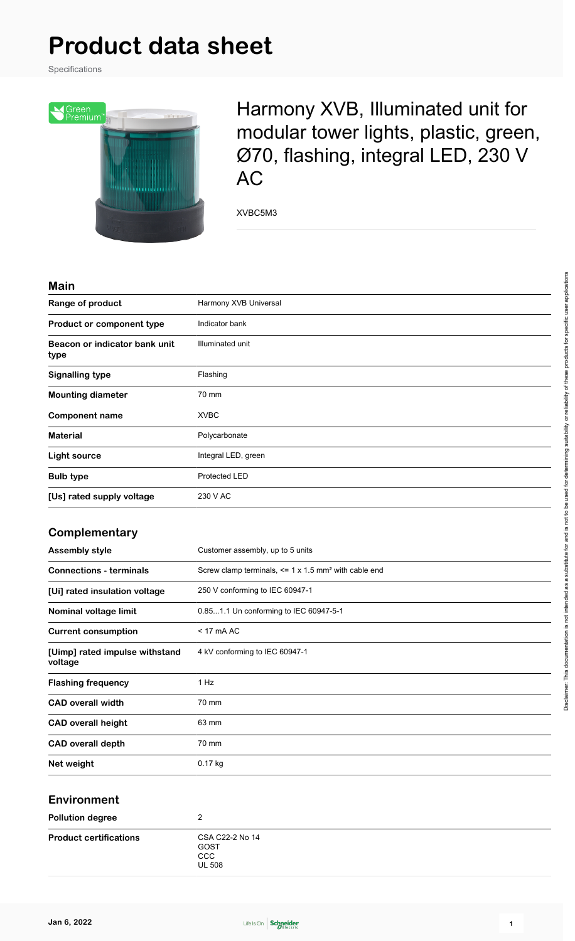# **Product data sheet**

Specifications



Harmony XVB, Illuminated unit for modular tower lights, plastic, green, Ø70, flashing, integral LED, 230 V AC

XVBC5M3

### **Main**

| ,,,,,,,                               |                       |
|---------------------------------------|-----------------------|
| Range of product                      | Harmony XVB Universal |
| Product or component type             | Indicator bank        |
| Beacon or indicator bank unit<br>type | Illuminated unit      |
| <b>Signalling type</b>                | Flashing              |
| <b>Mounting diameter</b>              | 70 mm                 |
| <b>Component name</b>                 | <b>XVBC</b>           |
| <b>Material</b>                       | Polycarbonate         |
| Light source                          | Integral LED, green   |
| <b>Bulb type</b>                      | Protected LED         |
| [Us] rated supply voltage             | 230 V AC              |

### **Complementary**

| <b>Assembly style</b>                     | Customer assembly, up to 5 units                                     |
|-------------------------------------------|----------------------------------------------------------------------|
| <b>Connections - terminals</b>            | Screw clamp terminals, $\leq$ 1 x 1.5 mm <sup>2</sup> with cable end |
| [Ui] rated insulation voltage             | 250 V conforming to IEC 60947-1                                      |
| Nominal voltage limit                     | 0.851.1 Un conforming to IEC 60947-5-1                               |
| <b>Current consumption</b>                | $<$ 17 mA AC                                                         |
| [Uimp] rated impulse withstand<br>voltage | 4 kV conforming to IEC 60947-1                                       |
| <b>Flashing frequency</b>                 | 1 Hz                                                                 |
| <b>CAD overall width</b>                  | 70 mm                                                                |
| <b>CAD overall height</b>                 | 63 mm                                                                |
| <b>CAD overall depth</b>                  | 70 mm                                                                |
| Net weight                                | $0.17$ kg                                                            |

### **Environment**

| <b>Pollution degree</b>       |                                                        |  |
|-------------------------------|--------------------------------------------------------|--|
| <b>Product certifications</b> | CSA C22-2 No 14<br>GOST<br><b>CCC</b><br><b>UL 508</b> |  |

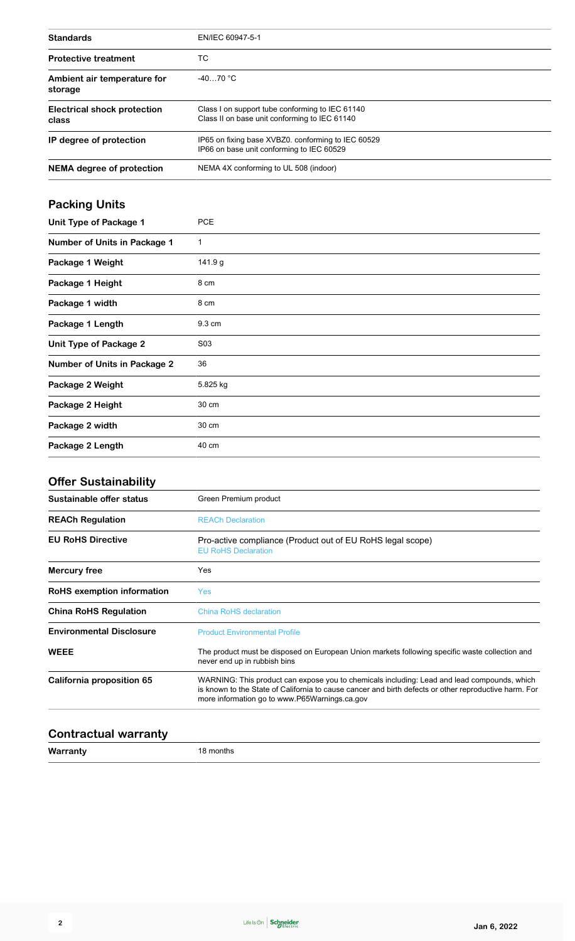| <b>Standards</b>                       | EN/IEC 60947-5-1                                                                                 |
|----------------------------------------|--------------------------------------------------------------------------------------------------|
| <b>Protective treatment</b>            | ТC                                                                                               |
| Ambient air temperature for<br>storage | $-4070 °C$                                                                                       |
| Electrical shock protection<br>class   | Class I on support tube conforming to IEC 61140<br>Class II on base unit conforming to IEC 61140 |
| IP degree of protection                | IP65 on fixing base XVBZ0, conforming to IEC 60529<br>IP66 on base unit conforming to IEC 60529  |
| <b>NEMA</b> degree of protection       | NEMA 4X conforming to UL 508 (indoor)                                                            |

## **Packing Units**

| Unit Type of Package 1              | <b>PCE</b>       |
|-------------------------------------|------------------|
| <b>Number of Units in Package 1</b> | 1                |
| Package 1 Weight                    | 141.9 g          |
| Package 1 Height                    | 8 cm             |
| Package 1 width                     | 8 cm             |
| Package 1 Length                    | 9.3 cm           |
| <b>Unit Type of Package 2</b>       | S <sub>0</sub> 3 |
| <b>Number of Units in Package 2</b> | 36               |
| Package 2 Weight                    | 5.825 kg         |
| Package 2 Height                    | 30 cm            |
| Package 2 width                     | 30 cm            |
| Package 2 Length                    | 40 cm            |

### **Offer Sustainability**

| Sustainable offer status        | Green Premium product                                                                                                                                                                                                                                 |  |
|---------------------------------|-------------------------------------------------------------------------------------------------------------------------------------------------------------------------------------------------------------------------------------------------------|--|
| <b>REACh Regulation</b>         | <b>REACh Declaration</b>                                                                                                                                                                                                                              |  |
| <b>EU RoHS Directive</b>        | Pro-active compliance (Product out of EU RoHS legal scope)<br><b>EU RoHS Declaration</b>                                                                                                                                                              |  |
| <b>Mercury free</b>             | Yes                                                                                                                                                                                                                                                   |  |
| RoHS exemption information      | Yes                                                                                                                                                                                                                                                   |  |
| <b>China RoHS Regulation</b>    | <b>China RoHS declaration</b>                                                                                                                                                                                                                         |  |
| <b>Environmental Disclosure</b> | <b>Product Environmental Profile</b>                                                                                                                                                                                                                  |  |
| <b>WEEE</b>                     | The product must be disposed on European Union markets following specific waste collection and<br>never end up in rubbish bins                                                                                                                        |  |
| California proposition 65       | WARNING: This product can expose you to chemicals including: Lead and lead compounds, which<br>is known to the State of California to cause cancer and birth defects or other reproductive harm. For<br>more information go to www.P65Warnings.ca.gov |  |

### **Contractual warranty**

**Warranty** 18 months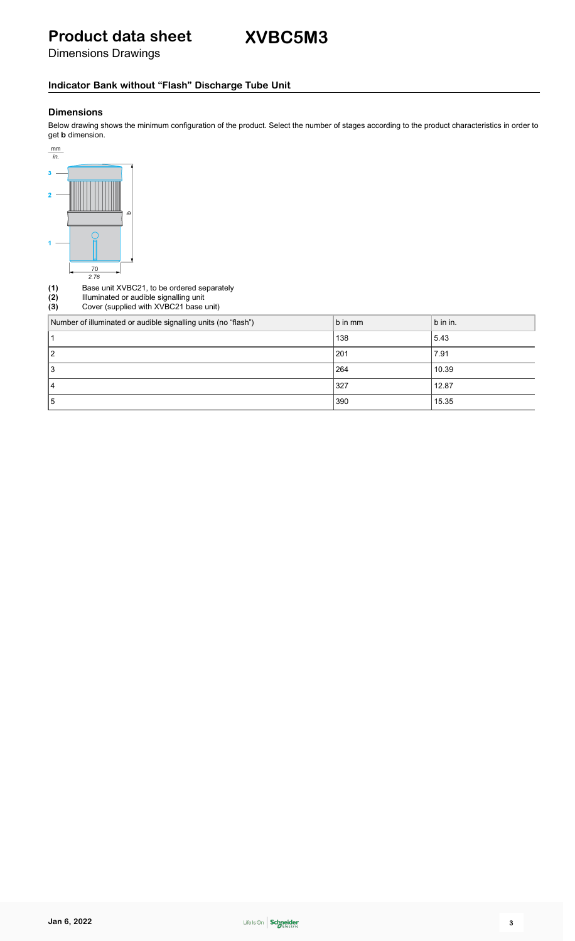# **Product data sheet**

Dimensions Drawings

### **Indicator Bank without "Flash" Discharge Tube Unit**

### **Dimensions**

Below drawing shows the minimum configuration of the product. Select the number of stages according to the product characteristics in order to get **b** dimension.



|                   | 2.76                                                                                                                           |         |          |
|-------------------|--------------------------------------------------------------------------------------------------------------------------------|---------|----------|
| (1)<br>(2)<br>(3) | Base unit XVBC21, to be ordered separately<br>Illuminated or audible signalling unit<br>Cover (supplied with XVBC21 base unit) |         |          |
|                   | Number of illuminated or audible signalling units (no "flash")                                                                 | b in mm | b in in. |
|                   |                                                                                                                                | 138     | 5.43     |
| 2                 |                                                                                                                                | 201     | 7.91     |
| 3                 |                                                                                                                                | 264     | 10.39    |
| 4                 |                                                                                                                                | 327     | 12.87    |
| 5                 |                                                                                                                                | 390     | 15.35    |
|                   |                                                                                                                                |         |          |